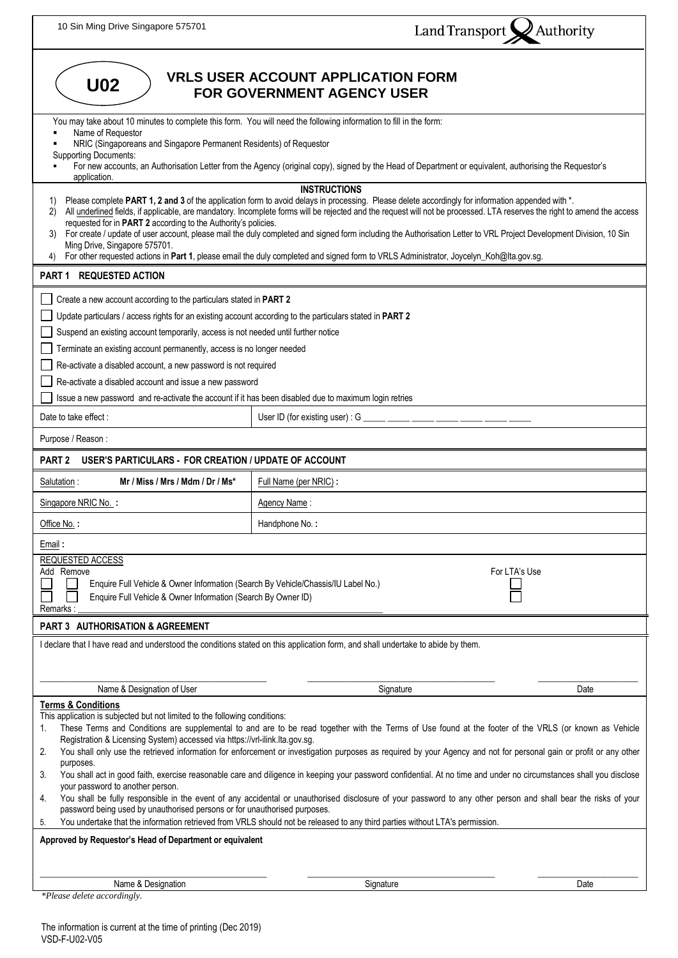| 10 Sin Ming Drive Singapore 575701                                                                                                                                                                                                                                                                                                                                                                                                                                                                                                                                                                                                                                                                                                                                                                                                                                                                                                                                                                                                                                                                                                                                                                                                                                            | Land Transport X Authority                                                                                                                             |  |  |
|-------------------------------------------------------------------------------------------------------------------------------------------------------------------------------------------------------------------------------------------------------------------------------------------------------------------------------------------------------------------------------------------------------------------------------------------------------------------------------------------------------------------------------------------------------------------------------------------------------------------------------------------------------------------------------------------------------------------------------------------------------------------------------------------------------------------------------------------------------------------------------------------------------------------------------------------------------------------------------------------------------------------------------------------------------------------------------------------------------------------------------------------------------------------------------------------------------------------------------------------------------------------------------|--------------------------------------------------------------------------------------------------------------------------------------------------------|--|--|
| <b>VRLS USER ACCOUNT APPLICATION FORM</b><br><b>U02</b><br><b>FOR GOVERNMENT AGENCY USER</b>                                                                                                                                                                                                                                                                                                                                                                                                                                                                                                                                                                                                                                                                                                                                                                                                                                                                                                                                                                                                                                                                                                                                                                                  |                                                                                                                                                        |  |  |
| You may take about 10 minutes to complete this form. You will need the following information to fill in the form:<br>Name of Requestor<br>NRIC (Singaporeans and Singapore Permanent Residents) of Requestor<br><b>Supporting Documents:</b><br>application.                                                                                                                                                                                                                                                                                                                                                                                                                                                                                                                                                                                                                                                                                                                                                                                                                                                                                                                                                                                                                  | For new accounts, an Authorisation Letter from the Agency (original copy), signed by the Head of Department or equivalent, authorising the Requestor's |  |  |
| <b>INSTRUCTIONS</b><br>Please complete PART 1, 2 and 3 of the application form to avoid delays in processing. Please delete accordingly for information appended with *.<br>1)<br>All underlined fields, if applicable, are mandatory. Incomplete forms will be rejected and the request will not be processed. LTA reserves the right to amend the access<br>2)<br>requested for in PART 2 according to the Authority's policies.<br>For create / update of user account, please mail the duly completed and signed form including the Authorisation Letter to VRL Project Development Division, 10 Sin<br>3)<br>Ming Drive, Singapore 575701.<br>For other requested actions in Part 1, please email the duly completed and signed form to VRLS Administrator, Joycelyn_Koh@lta.gov.sg.                                                                                                                                                                                                                                                                                                                                                                                                                                                                                     |                                                                                                                                                        |  |  |
| PART 1 REQUESTED ACTION                                                                                                                                                                                                                                                                                                                                                                                                                                                                                                                                                                                                                                                                                                                                                                                                                                                                                                                                                                                                                                                                                                                                                                                                                                                       |                                                                                                                                                        |  |  |
| Create a new account according to the particulars stated in PART 2<br>Update particulars / access rights for an existing account according to the particulars stated in PART 2<br>Suspend an existing account temporarily, access is not needed until further notice<br>Terminate an existing account permanently, access is no longer needed<br>Re-activate a disabled account, a new password is not required<br>Re-activate a disabled account and issue a new password<br>Issue a new password and re-activate the account if it has been disabled due to maximum login retries                                                                                                                                                                                                                                                                                                                                                                                                                                                                                                                                                                                                                                                                                           |                                                                                                                                                        |  |  |
| Date to take effect:                                                                                                                                                                                                                                                                                                                                                                                                                                                                                                                                                                                                                                                                                                                                                                                                                                                                                                                                                                                                                                                                                                                                                                                                                                                          | User ID (for existing user) : $G$ ______ _________                                                                                                     |  |  |
| Purpose / Reason:                                                                                                                                                                                                                                                                                                                                                                                                                                                                                                                                                                                                                                                                                                                                                                                                                                                                                                                                                                                                                                                                                                                                                                                                                                                             |                                                                                                                                                        |  |  |
| <b>USER'S PARTICULARS - FOR CREATION / UPDATE OF ACCOUNT</b><br>PART <sub>2</sub>                                                                                                                                                                                                                                                                                                                                                                                                                                                                                                                                                                                                                                                                                                                                                                                                                                                                                                                                                                                                                                                                                                                                                                                             |                                                                                                                                                        |  |  |
| Mr / Miss / Mrs / Mdm / Dr / Ms*<br>Salutation:                                                                                                                                                                                                                                                                                                                                                                                                                                                                                                                                                                                                                                                                                                                                                                                                                                                                                                                                                                                                                                                                                                                                                                                                                               | Full Name (per NRIC):                                                                                                                                  |  |  |
| Singapore NRIC No. :                                                                                                                                                                                                                                                                                                                                                                                                                                                                                                                                                                                                                                                                                                                                                                                                                                                                                                                                                                                                                                                                                                                                                                                                                                                          | Agency Name:                                                                                                                                           |  |  |
| Office No.:                                                                                                                                                                                                                                                                                                                                                                                                                                                                                                                                                                                                                                                                                                                                                                                                                                                                                                                                                                                                                                                                                                                                                                                                                                                                   | Handphone No.:                                                                                                                                         |  |  |
| Email:<br>REQUESTED ACCESS<br>Add Remove<br>For LTA's Use<br>Enquire Full Vehicle & Owner Information (Search By Vehicle/Chassis/IU Label No.)<br>Enquire Full Vehicle & Owner Information (Search By Owner ID)<br>Remarks:                                                                                                                                                                                                                                                                                                                                                                                                                                                                                                                                                                                                                                                                                                                                                                                                                                                                                                                                                                                                                                                   |                                                                                                                                                        |  |  |
| PART 3 AUTHORISATION & AGREEMENT                                                                                                                                                                                                                                                                                                                                                                                                                                                                                                                                                                                                                                                                                                                                                                                                                                                                                                                                                                                                                                                                                                                                                                                                                                              |                                                                                                                                                        |  |  |
| I declare that I have read and understood the conditions stated on this application form, and shall undertake to abide by them.                                                                                                                                                                                                                                                                                                                                                                                                                                                                                                                                                                                                                                                                                                                                                                                                                                                                                                                                                                                                                                                                                                                                               |                                                                                                                                                        |  |  |
| Name & Designation of User<br>Signature<br>Date<br><b>Terms &amp; Conditions</b><br>This application is subjected but not limited to the following conditions:<br>These Terms and Conditions are supplemental to and are to be read together with the Terms of Use found at the footer of the VRLS (or known as Vehicle<br>1.<br>Registration & Licensing System) accessed via https://vrl-ilink.lta.gov.sg.<br>You shall only use the retrieved information for enforcement or investigation purposes as required by your Agency and not for personal gain or profit or any other<br>2.<br>purposes.<br>You shall act in good faith, exercise reasonable care and diligence in keeping your password confidential. At no time and under no circumstances shall you disclose<br>3.<br>your password to another person.<br>You shall be fully responsible in the event of any accidental or unauthorised disclosure of your password to any other person and shall bear the risks of your<br>4.<br>password being used by unauthorised persons or for unauthorised purposes.<br>You undertake that the information retrieved from VRLS should not be released to any third parties without LTA's permission.<br>5.<br>Approved by Requestor's Head of Department or equivalent |                                                                                                                                                        |  |  |
|                                                                                                                                                                                                                                                                                                                                                                                                                                                                                                                                                                                                                                                                                                                                                                                                                                                                                                                                                                                                                                                                                                                                                                                                                                                                               |                                                                                                                                                        |  |  |
| Name & Designation<br>*Please delete accordingly.                                                                                                                                                                                                                                                                                                                                                                                                                                                                                                                                                                                                                                                                                                                                                                                                                                                                                                                                                                                                                                                                                                                                                                                                                             | Signature<br>Date                                                                                                                                      |  |  |